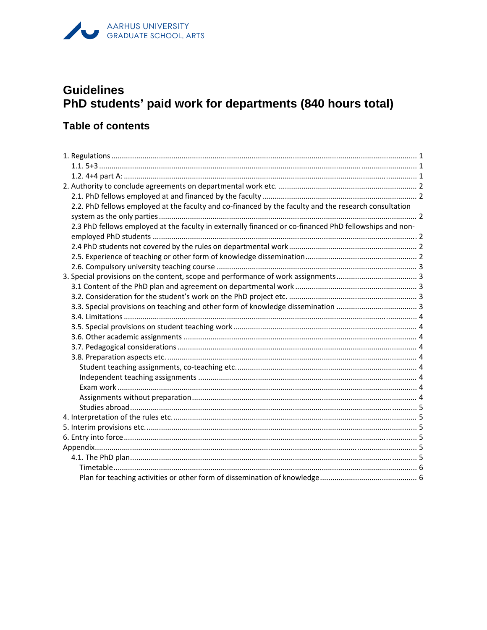# AARHUS UNIVERSITY<br>GRADUATE SCHOOL, ARTS

## **Guidelines** PhD students' paid work for departments (840 hours total)

## **Table of contents**

| 2.2. PhD fellows employed at the faculty and co-financed by the faculty and the research consultation  |  |
|--------------------------------------------------------------------------------------------------------|--|
|                                                                                                        |  |
| 2.3 PhD fellows employed at the faculty in externally financed or co-financed PhD fellowships and non- |  |
|                                                                                                        |  |
|                                                                                                        |  |
|                                                                                                        |  |
|                                                                                                        |  |
|                                                                                                        |  |
|                                                                                                        |  |
|                                                                                                        |  |
|                                                                                                        |  |
|                                                                                                        |  |
|                                                                                                        |  |
|                                                                                                        |  |
|                                                                                                        |  |
|                                                                                                        |  |
|                                                                                                        |  |
|                                                                                                        |  |
|                                                                                                        |  |
|                                                                                                        |  |
|                                                                                                        |  |
|                                                                                                        |  |
|                                                                                                        |  |
|                                                                                                        |  |
|                                                                                                        |  |
|                                                                                                        |  |
|                                                                                                        |  |
|                                                                                                        |  |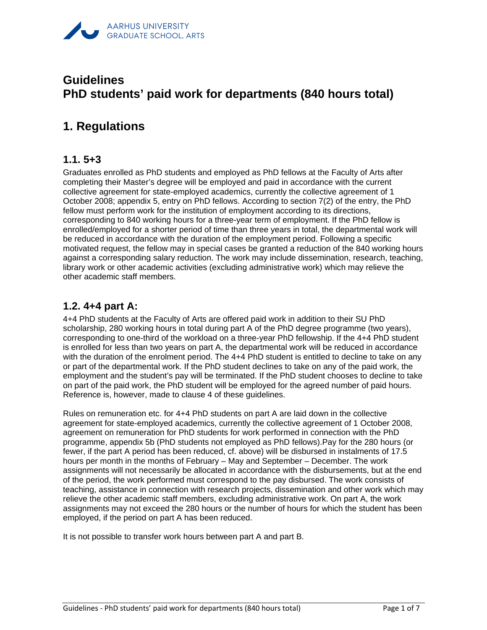

## **Guidelines PhD students' paid work for departments (840 hours total)**

## **1. Regulations**

#### **1.1. 5+3**

Graduates enrolled as PhD students and employed as PhD fellows at the Faculty of Arts after completing their Master's degree will be employed and paid in accordance with the current collective agreement for state-employed academics, currently the collective agreement of 1 October 2008; appendix 5, entry on PhD fellows. According to section 7(2) of the entry, the PhD fellow must perform work for the institution of employment according to its directions, corresponding to 840 working hours for a three-year term of employment. If the PhD fellow is enrolled/employed for a shorter period of time than three years in total, the departmental work will be reduced in accordance with the duration of the employment period. Following a specific motivated request, the fellow may in special cases be granted a reduction of the 840 working hours against a corresponding salary reduction. The work may include dissemination, research, teaching, library work or other academic activities (excluding administrative work) which may relieve the other academic staff members.

### **1.2. 4+4 part A:**

4+4 PhD students at the Faculty of Arts are offered paid work in addition to their SU PhD scholarship, 280 working hours in total during part A of the PhD degree programme (two years), corresponding to one-third of the workload on a three-year PhD fellowship. If the 4+4 PhD student is enrolled for less than two years on part A, the departmental work will be reduced in accordance with the duration of the enrolment period. The 4+4 PhD student is entitled to decline to take on any or part of the departmental work. If the PhD student declines to take on any of the paid work, the employment and the student's pay will be terminated. If the PhD student chooses to decline to take on part of the paid work, the PhD student will be employed for the agreed number of paid hours. Reference is, however, made to clause 4 of these guidelines.

Rules on remuneration etc. for 4+4 PhD students on part A are laid down in the collective agreement for state-employed academics, currently the collective agreement of 1 October 2008, agreement on remuneration for PhD students for work performed in connection with the PhD programme, appendix 5b (PhD students not employed as PhD fellows).Pay for the 280 hours (or fewer, if the part A period has been reduced, cf. above) will be disbursed in instalments of 17.5 hours per month in the months of February – May and September – December. The work assignments will not necessarily be allocated in accordance with the disbursements, but at the end of the period, the work performed must correspond to the pay disbursed. The work consists of teaching, assistance in connection with research projects, dissemination and other work which may relieve the other academic staff members, excluding administrative work. On part A, the work assignments may not exceed the 280 hours or the number of hours for which the student has been employed, if the period on part A has been reduced.

It is not possible to transfer work hours between part A and part B.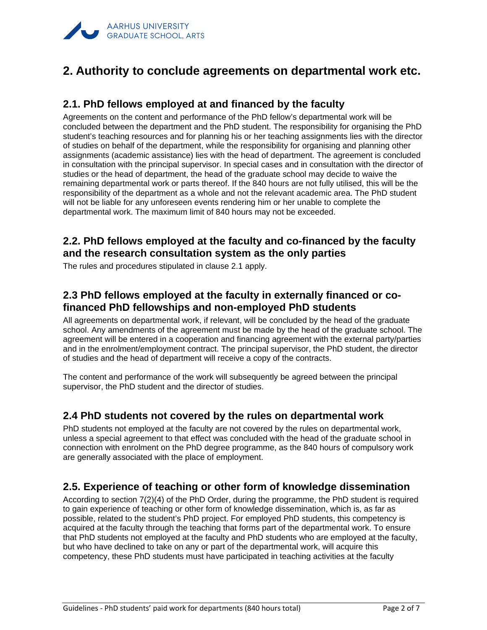

## **2. Authority to conclude agreements on departmental work etc.**

### **2.1. PhD fellows employed at and financed by the faculty**

Agreements on the content and performance of the PhD fellow's departmental work will be concluded between the department and the PhD student. The responsibility for organising the PhD student's teaching resources and for planning his or her teaching assignments lies with the director of studies on behalf of the department, while the responsibility for organising and planning other assignments (academic assistance) lies with the head of department. The agreement is concluded in consultation with the principal supervisor. In special cases and in consultation with the director of studies or the head of department, the head of the graduate school may decide to waive the remaining departmental work or parts thereof. If the 840 hours are not fully utilised, this will be the responsibility of the department as a whole and not the relevant academic area. The PhD student will not be liable for any unforeseen events rendering him or her unable to complete the departmental work. The maximum limit of 840 hours may not be exceeded.

### **2.2. PhD fellows employed at the faculty and co-financed by the faculty and the research consultation system as the only parties**

The rules and procedures stipulated in clause 2.1 apply.

### **2.3 PhD fellows employed at the faculty in externally financed or cofinanced PhD fellowships and non-employed PhD students**

All agreements on departmental work, if relevant, will be concluded by the head of the graduate school. Any amendments of the agreement must be made by the head of the graduate school. The agreement will be entered in a cooperation and financing agreement with the external party/parties and in the enrolment/employment contract. The principal supervisor, the PhD student, the director of studies and the head of department will receive a copy of the contracts.

The content and performance of the work will subsequently be agreed between the principal supervisor, the PhD student and the director of studies.

#### **2.4 PhD students not covered by the rules on departmental work**

PhD students not employed at the faculty are not covered by the rules on departmental work, unless a special agreement to that effect was concluded with the head of the graduate school in connection with enrolment on the PhD degree programme, as the 840 hours of compulsory work are generally associated with the place of employment.

#### **2.5. Experience of teaching or other form of knowledge dissemination**

According to section 7(2)(4) of the PhD Order, during the programme, the PhD student is required to gain experience of teaching or other form of knowledge dissemination, which is, as far as possible, related to the student's PhD project. For employed PhD students, this competency is acquired at the faculty through the teaching that forms part of the departmental work. To ensure that PhD students not employed at the faculty and PhD students who are employed at the faculty, but who have declined to take on any or part of the departmental work, will acquire this competency, these PhD students must have participated in teaching activities at the faculty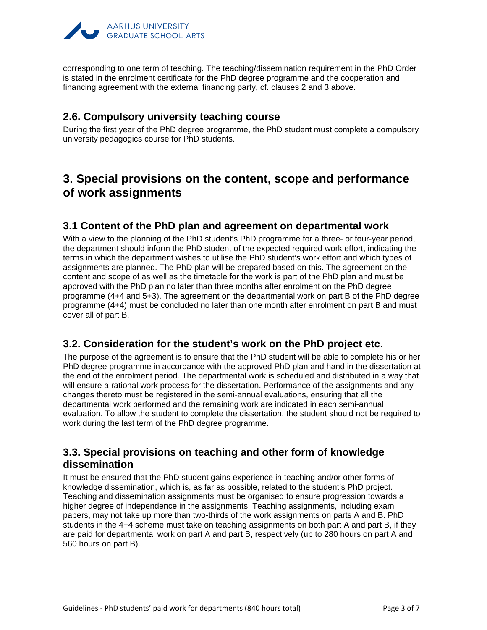

corresponding to one term of teaching. The teaching/dissemination requirement in the PhD Order is stated in the enrolment certificate for the PhD degree programme and the cooperation and financing agreement with the external financing party, cf. clauses 2 and 3 above.

#### **2.6. Compulsory university teaching course**

During the first year of the PhD degree programme, the PhD student must complete a compulsory university pedagogics course for PhD students.

## **3. Special provisions on the content, scope and performance of work assignments**

#### **3.1 Content of the PhD plan and agreement on departmental work**

With a view to the planning of the PhD student's PhD programme for a three- or four-year period, the department should inform the PhD student of the expected required work effort, indicating the terms in which the department wishes to utilise the PhD student's work effort and which types of assignments are planned. The PhD plan will be prepared based on this. The agreement on the content and scope of as well as the timetable for the work is part of the PhD plan and must be approved with the PhD plan no later than three months after enrolment on the PhD degree programme (4+4 and 5+3). The agreement on the departmental work on part B of the PhD degree programme (4+4) must be concluded no later than one month after enrolment on part B and must cover all of part B.

#### **3.2. Consideration for the student's work on the PhD project etc.**

The purpose of the agreement is to ensure that the PhD student will be able to complete his or her PhD degree programme in accordance with the approved PhD plan and hand in the dissertation at the end of the enrolment period. The departmental work is scheduled and distributed in a way that will ensure a rational work process for the dissertation. Performance of the assignments and any changes thereto must be registered in the semi-annual evaluations, ensuring that all the departmental work performed and the remaining work are indicated in each semi-annual evaluation. To allow the student to complete the dissertation, the student should not be required to work during the last term of the PhD degree programme.

### **3.3. Special provisions on teaching and other form of knowledge dissemination**

It must be ensured that the PhD student gains experience in teaching and/or other forms of knowledge dissemination, which is, as far as possible, related to the student's PhD project. Teaching and dissemination assignments must be organised to ensure progression towards a higher degree of independence in the assignments. Teaching assignments, including exam papers, may not take up more than two-thirds of the work assignments on parts A and B. PhD students in the 4+4 scheme must take on teaching assignments on both part A and part B, if they are paid for departmental work on part A and part B, respectively (up to 280 hours on part A and 560 hours on part B).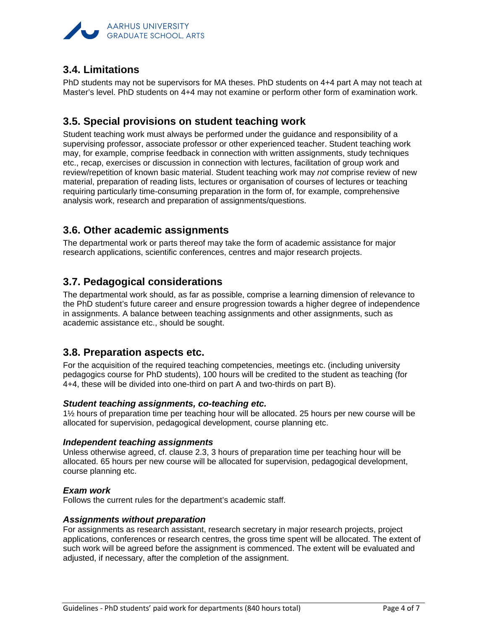

### **3.4. Limitations**

PhD students may not be supervisors for MA theses. PhD students on 4+4 part A may not teach at Master's level. PhD students on 4+4 may not examine or perform other form of examination work.

### **3.5. Special provisions on student teaching work**

Student teaching work must always be performed under the guidance and responsibility of a supervising professor, associate professor or other experienced teacher. Student teaching work may, for example, comprise feedback in connection with written assignments, study techniques etc., recap, exercises or discussion in connection with lectures, facilitation of group work and review/repetition of known basic material. Student teaching work may *not* comprise review of new material, preparation of reading lists, lectures or organisation of courses of lectures or teaching requiring particularly time-consuming preparation in the form of, for example, comprehensive analysis work, research and preparation of assignments/questions.

#### **3.6. Other academic assignments**

The departmental work or parts thereof may take the form of academic assistance for major research applications, scientific conferences, centres and major research projects.

### **3.7. Pedagogical considerations**

The departmental work should, as far as possible, comprise a learning dimension of relevance to the PhD student's future career and ensure progression towards a higher degree of independence in assignments. A balance between teaching assignments and other assignments, such as academic assistance etc., should be sought.

#### **3.8. Preparation aspects etc.**

For the acquisition of the required teaching competencies, meetings etc. (including university pedagogics course for PhD students), 100 hours will be credited to the student as teaching (for 4+4, these will be divided into one-third on part A and two-thirds on part B).

#### *Student teaching assignments, co-teaching etc.*

1½ hours of preparation time per teaching hour will be allocated. 25 hours per new course will be allocated for supervision, pedagogical development, course planning etc.

#### *Independent teaching assignments*

Unless otherwise agreed, cf. clause 2.3, 3 hours of preparation time per teaching hour will be allocated. 65 hours per new course will be allocated for supervision, pedagogical development, course planning etc.

#### *Exam work*

Follows the current rules for the department's academic staff.

#### *Assignments without preparation*

For assignments as research assistant, research secretary in major research projects, project applications, conferences or research centres, the gross time spent will be allocated. The extent of such work will be agreed before the assignment is commenced. The extent will be evaluated and adjusted, if necessary, after the completion of the assignment.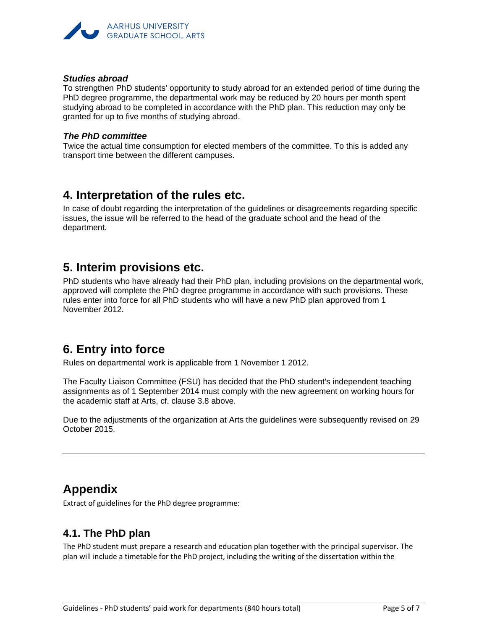

#### *Studies abroad*

To strengthen PhD students' opportunity to study abroad for an extended period of time during the PhD degree programme, the departmental work may be reduced by 20 hours per month spent studying abroad to be completed in accordance with the PhD plan. This reduction may only be granted for up to five months of studying abroad.

#### *The PhD committee*

Twice the actual time consumption for elected members of the committee. To this is added any transport time between the different campuses.

## **4. Interpretation of the rules etc.**

In case of doubt regarding the interpretation of the guidelines or disagreements regarding specific issues, the issue will be referred to the head of the graduate school and the head of the department.

## **5. Interim provisions etc.**

PhD students who have already had their PhD plan, including provisions on the departmental work, approved will complete the PhD degree programme in accordance with such provisions. These rules enter into force for all PhD students who will have a new PhD plan approved from 1 November 2012.

## **6. Entry into force**

Rules on departmental work is applicable from 1 November 1 2012.

The Faculty Liaison Committee (FSU) has decided that the PhD student's independent teaching assignments as of 1 September 2014 must comply with the new agreement on working hours for the academic staff at Arts, cf. clause 3.8 above.

Due to the adjustments of the organization at Arts the guidelines were subsequently revised on 29 October 2015.

## **Appendix**

Extract of guidelines for the PhD degree programme:

#### **4.1. The PhD plan**

The PhD student must prepare a research and education plan together with the principal supervisor. The plan will include a timetable for the PhD project, including the writing of the dissertation within the